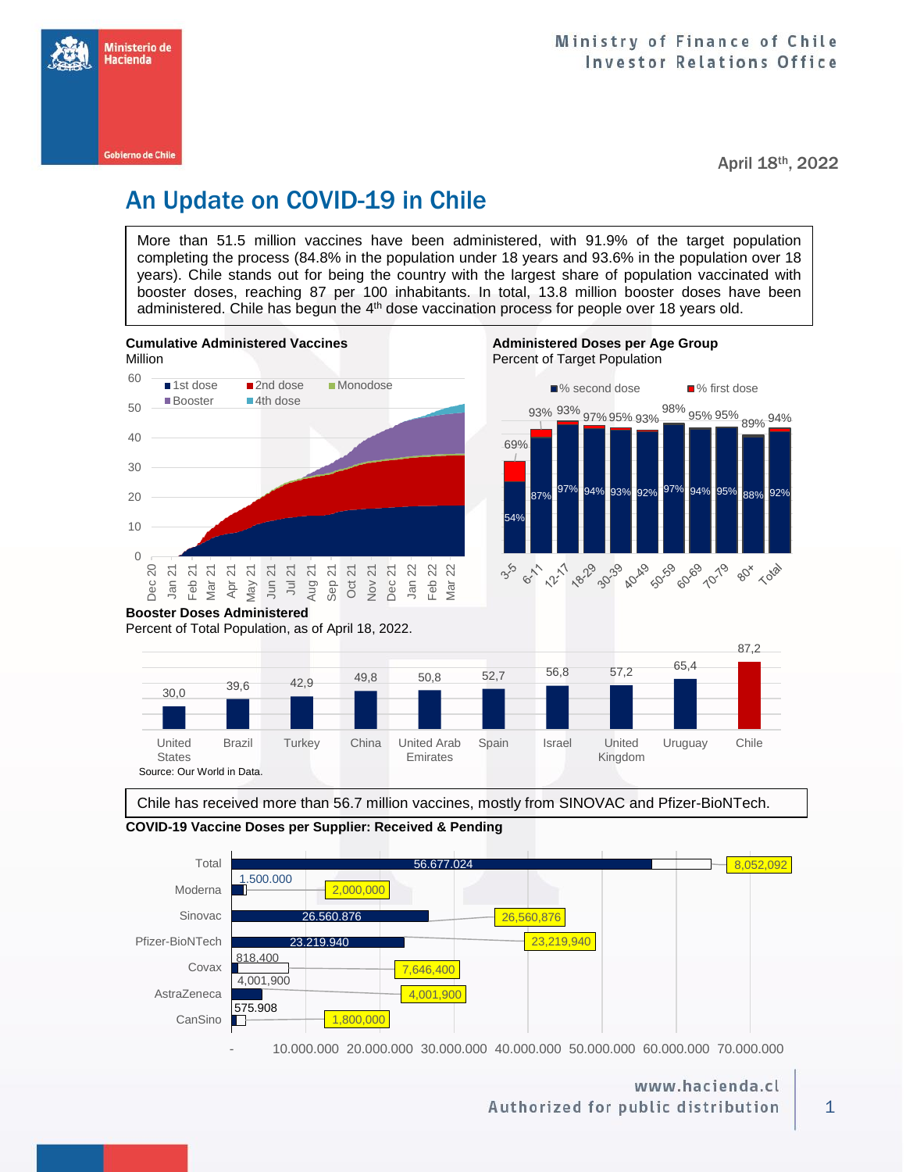

April 18th, 2022

# An Update on COVID-19 in Chile

More than 51.5 million vaccines have been administered, with 91.9% of the target population completing the process (84.8% in the population under 18 years and 93.6% in the population over 18 years). Chile stands out for being the country with the largest share of population vaccinated with booster doses, reaching 87 per 100 inhabitants. In total, 13.8 million booster doses have been administered. Chile has begun the 4<sup>th</sup> dose vaccination process for people over 18 years old.





Chile has received more than 56.7 million vaccines, mostly from SINOVAC and Pfizer-BioNTech.





- 10.000.000 20.000.000 30.000.000 40.000.000 50.000.000 60.000.000 70.000.000

### www.hacienda.cl Authorized for public distribution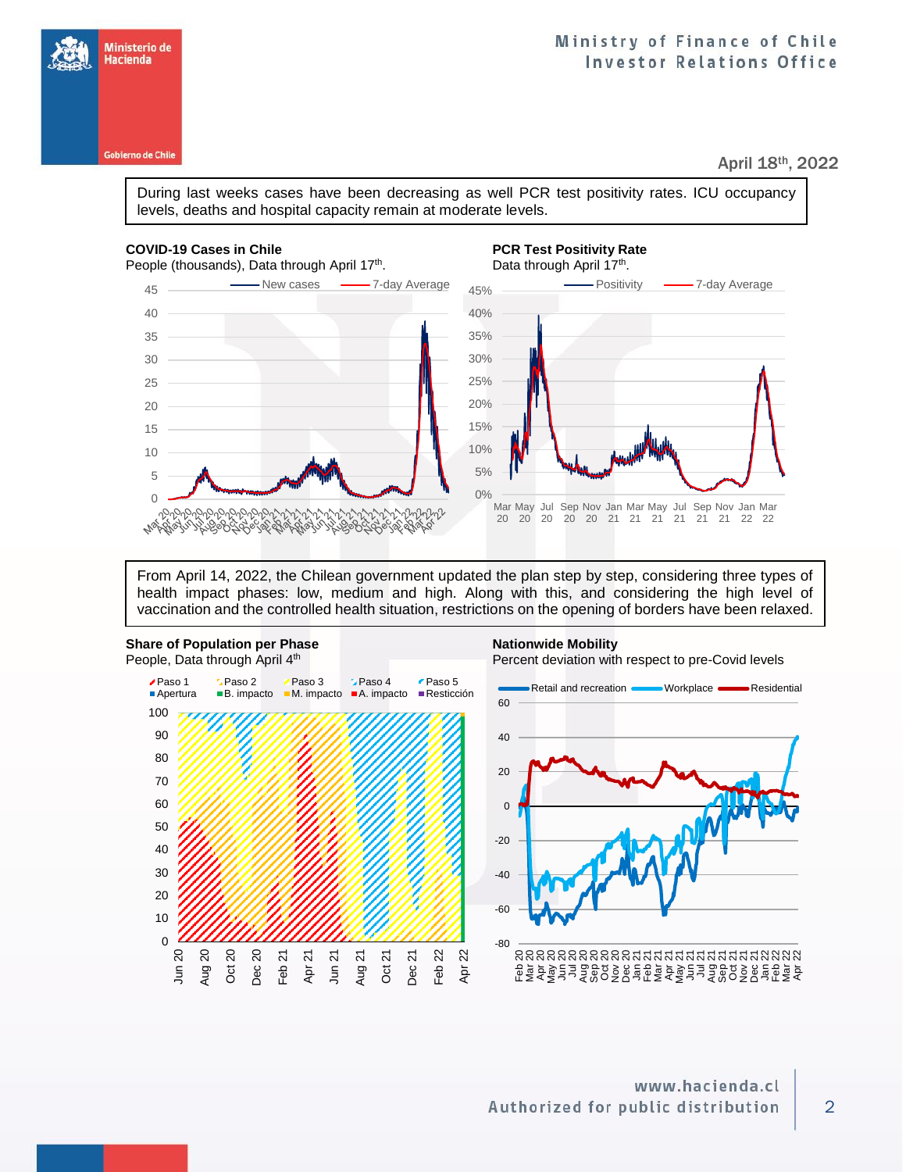Ministerio de Hacienda

April 18th, 2022

During last weeks cases have been decreasing as well PCR test positivity rates. ICU occupancy levels, deaths and hospital capacity remain at moderate levels.

#### **COVID-19 Cases in Chile PCR Test Positivity Rate**

People (thousands), Data through April 17<sup>th</sup>. . Data through April 17<sup>th</sup>. 45 Wew cases **3 T-day Average** - Positivity - 7-day Average 45% 40 40% 35 35% 30% 30 25% 25 20 20% 15% 15 10% 10 5% 5  $0%$  $\Omega$ Mar May Jul Sep Nov Jan Mar May Jul Sep Nov Jan Mar 20 20 20 20 20 21 21 21 21 21 21 22 22 May やとうことが X

From April 14, 2022, the Chilean government updated the plan step by step, considering three types of health impact phases: low, medium and high. Along with this, and considering the high level of vaccination and the controlled health situation, restrictions on the opening of borders have been relaxed.



2